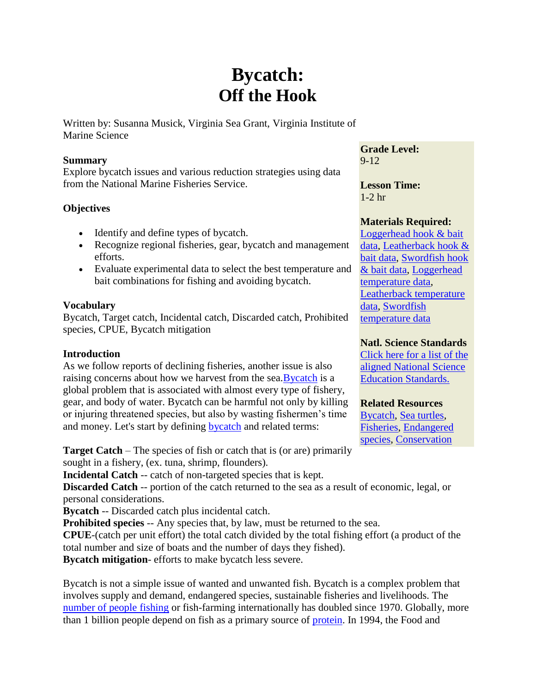# **Bycatch: Off the Hook**

Written by: Susanna Musick, Virginia Sea Grant, Virginia Institute of Marine Science

#### **Summary**

Explore bycatch issues and various reduction strategies using data from the National Marine Fisheries Service.

# **Objectives**

- Identify and define types of bycatch.
- Recognize regional fisheries, gear, bycatch and management efforts.
- Evaluate experimental data to select the best temperature and bait combinations for fishing and avoiding bycatch.

## **Vocabulary**

Bycatch, Target catch, Incidental catch, Discarded catch, Prohibited species, CPUE, Bycatch mitigation

## **Introduction**

As we follow reports of declining fisheries, another issue is also raising concerns about how we harvest from the sea. **Bycatch** is a global problem that is associated with almost every type of fishery, gear, and body of water. Bycatch can be harmful not only by killing or injuring threatened species, but also by wasting fishermen's time and money. Let's start by defining [bycatch](http://www.fao.org/DOCREP/003/T4890E/T4890E02.htm#ch1.1.1) and related terms:

**Target Catch** – The species of fish or catch that is (or are) primarily sought in a fishery, (ex. tuna, shrimp, flounders).

**Incidental Catch** -- catch of non-targeted species that is kept.

**Discarded Catch** -- portion of the catch returned to the sea as a result of economic, legal, or personal considerations.

**Bycatch** -- Discarded catch plus incidental catch.

**Prohibited species** -- Any species that, by law, must be returned to the sea.

**CPUE**-(catch per unit effort) the total catch divided by the total fishing effort (a product of the total number and size of boats and the number of days they fished).

**Bycatch mitigation**- efforts to make bycatch less severe.

Bycatch is not a simple issue of wanted and unwanted fish. Bycatch is a complex problem that involves supply and demand, endangered species, sustainable fisheries and livelihoods. The [number of people fishing](http://www.fao.org/fi/highligh/fisher/graph.asp) or fish-farming internationally has doubled since 1970. Globally, more than 1 billion people depend on fish as a primary source of [protein.](http://www.fao.org/docrep/005/y7300e/y7300e05.htm) In 1994, the Food and

**Grade Level:** 9-12

**Lesson Time:**  1-2 hr

# **Materials Required:**

[Loggerhead hook & bait](http://www2.vims.edu/bridge/DATA.cfm?Bridge_Location=archive0404.html)  [data, Leatherback hook &](http://www2.vims.edu/bridge/DATA.cfm?Bridge_Location=archive0404.html)  [bait data, Swordfish hook](http://www2.vims.edu/bridge/DATA.cfm?Bridge_Location=archive0404.html)  [& bait data, Loggerhead](http://www2.vims.edu/bridge/DATA.cfm?Bridge_Location=archive0404.html)  [temperature data,](http://www2.vims.edu/bridge/DATA.cfm?Bridge_Location=archive0404.html) [Leatherback temperature](http://www2.vims.edu/bridge/DATA.cfm?Bridge_Location=archive0404.html)  [data, Swordfish](http://www2.vims.edu/bridge/DATA.cfm?Bridge_Location=archive0404.html)  [temperature data](http://www2.vims.edu/bridge/DATA.cfm?Bridge_Location=archive0404.html)

# **Natl. Science Standards**

[Click here for a list of the](javascript:poptastic()  [aligned National Science](javascript:poptastic()  [Education Standards.](javascript:poptastic()

## **Related Resources**

[Bycatch,](http://www2.vims.edu/bridge/search/bridge1output_menu.cfm?q=bycatch) [Sea turtles,](http://www2.vims.edu/bridge/search/bridge1output_menu.cfm?q=turtle) [Fisheries,](http://www2.vims.edu/bridge/search/bridge1output_menu.cfm?q=fisheries) [Endangered](http://www2.vims.edu/bridge/search/bridge1output_menu.cfm?q=endangered)  [species,](http://www2.vims.edu/bridge/search/bridge1output_menu.cfm?q=endangered) [Conservation](http://www2.vims.edu/bridge/search/bridge1output_menu.cfm?q=conservation)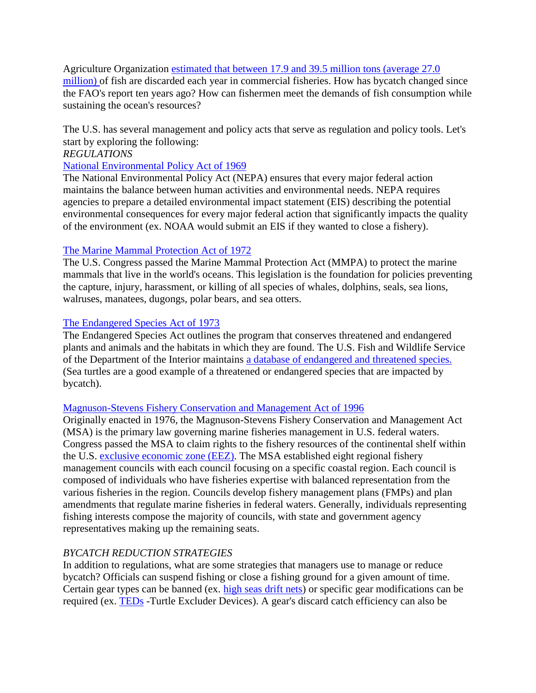Agriculture Organization [estimated that between 17.9 and 39.5 million tons \(average 27.0](http://www.fao.org/DOCREP/003/T4890E/T4890E00.HTM)  [million\) o](http://www.fao.org/DOCREP/003/T4890E/T4890E00.HTM)f fish are discarded each year in commercial fisheries. How has bycatch changed since the FAO's report ten years ago? How can fishermen meet the demands of fish consumption while sustaining the ocean's resources?

The U.S. has several management and policy acts that serve as regulation and policy tools. Let's start by exploring the following:

#### *REGULATIONS*

#### [National Environmental Policy Act of 1969](http://en.wikipedia.org/wiki/National_Environmental_Policy_Act)

The National Environmental Policy Act (NEPA) ensures that every major federal action maintains the balance between human activities and environmental needs. NEPA requires agencies to prepare a detailed environmental impact statement (EIS) describing the potential environmental consequences for every major federal action that significantly impacts the quality of the environment (ex. NOAA would submit an EIS if they wanted to close a fishery).

## [The Marine Mammal Protection Act of 1972](http://www.nmfs.noaa.gov/pr/laws/mmpa.htm)

The U.S. Congress passed the Marine Mammal Protection Act (MMPA) to protect the marine mammals that live in the world's oceans. This legislation is the foundation for policies preventing the capture, injury, harassment, or killing of all species of whales, dolphins, seals, sea lions, walruses, manatees, dugongs, polar bears, and sea otters.

#### [The Endangered Species Act of 1973](http://www.nmfs.noaa.gov/pr/laws/esa/)

The Endangered Species Act outlines the program that conserves threatened and endangered plants and animals and the habitats in which they are found. The U.S. Fish and Wildlife Service of the Department of the Interior maintains [a database of endangered and threatened species.](http://www.fws.gov/endangered/) (Sea turtles are a good example of a threatened or endangered species that are impacted by bycatch).

#### [Magnuson-Stevens Fishery Conservation and Management Act of 1996](http://www.nmfs.noaa.gov/sfa/magact/index.html)

Originally enacted in 1976, the Magnuson-Stevens Fishery Conservation and Management Act (MSA) is the primary law governing marine fisheries management in U.S. federal waters. Congress passed the MSA to claim rights to the fishery resources of the continental shelf within the U.S. [exclusive economic zone \(EEZ\).](http://oceanservice.noaa.gov/facts/eez.html) The MSA established eight regional fishery management councils with each council focusing on a specific coastal region. Each council is composed of individuals who have fisheries expertise with balanced representation from the various fisheries in the region. Councils develop fishery management plans (FMPs) and plan amendments that regulate marine fisheries in federal waters. Generally, individuals representing fishing interests compose the majority of councils, with state and government agency representatives making up the remaining seats.

## *BYCATCH REDUCTION STRATEGIES*

In addition to regulations, what are some strategies that managers use to manage or reduce bycatch? Officials can suspend fishing or close a fishing ground for a given amount of time. Certain gear types can be banned (ex. [high seas drift nets\)](http://www.mxsocal.org/newsitems/towimage/Drift-Net.gif) or specific gear modifications can be required (ex. [TEDs](http://www.nmfs.noaa.gov/prot_res/PR3/Turtles/TEDS.html) -Turtle Excluder Devices). A gear's discard catch efficiency can also be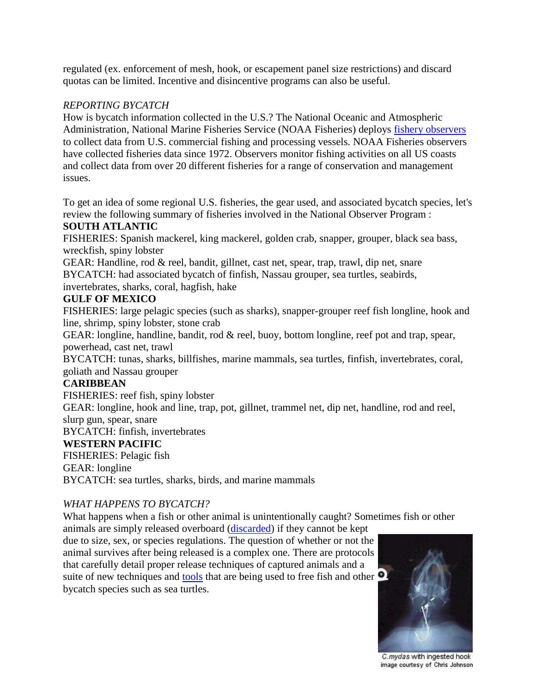regulated (ex. enforcement of mesh, hook, or escapement panel size restrictions) and discard quotas can be limited. Incentive and disincentive programs can also be useful.

## *REPORTING BYCATCH*

How is bycatch information collected in the U.S.? The National Oceanic and Atmospheric Administration, National Marine Fisheries Service (NOAA Fisheries) deploys [fishery observers](http://www.st.nmfs.noaa.gov/st4/nop/) to collect data from U.S. commercial fishing and processing vessels. NOAA Fisheries observers have collected fisheries data since 1972. Observers monitor fishing activities on all US coasts and collect data from over 20 different fisheries for a range of conservation and management issues.

To get an idea of some regional U.S. fisheries, the gear used, and associated bycatch species, let's review the following summary of fisheries involved in the National Observer Program :

# **SOUTH ATLANTIC**

FISHERIES: Spanish mackerel, king mackerel, golden crab, snapper, grouper, black sea bass, wreckfish, spiny lobster

GEAR: Handline, rod & reel, bandit, gillnet, cast net, spear, trap, trawl, dip net, snare BYCATCH: had associated bycatch of finfish, Nassau grouper, sea turtles, seabirds, invertebrates, sharks, coral, hagfish, hake

#### **GULF OF MEXICO**

FISHERIES: large pelagic species (such as sharks), snapper-grouper reef fish longline, hook and line, shrimp, spiny lobster, stone crab

GEAR: longline, handline, bandit, rod & reel, buoy, bottom longline, reef pot and trap, spear, powerhead, cast net, trawl

BYCATCH: tunas, sharks, billfishes, marine mammals, sea turtles, finfish, invertebrates, coral, goliath and Nassau grouper

## **CARIBBEAN**

FISHERIES: reef fish, spiny lobster

GEAR: longline, hook and line, trap, pot, gillnet, trammel net, dip net, handline, rod and reel, slurp gun, spear, snare

BYCATCH: finfish, invertebrates

## **WESTERN PACIFIC**

FISHERIES: Pelagic fish

GEAR: longline

BYCATCH: sea turtles, sharks, birds, and marine mammals

## *WHAT HAPPENS TO BYCATCH?*

What happens when a fish or other animal is unintentionally caught? Sometimes fish or other

animals are simply released overboard [\(discarded\)](http://www.fao.org/DOCREP/003/T4890E/T4890E08.htm#ch4.2.4) if they cannot be kept due to size, sex, or species regulations. The question of whether or not the animal survives after being released is a complex one. There are protocols that carefully detail proper release techniques of captured animals and a suite of new techniques and [tools](http://www.dehooker4arc.com/) that are being used to free fish and other bycatch species such as sea turtles.



C. mydas with ingested hook image courtesy of Chris Johnson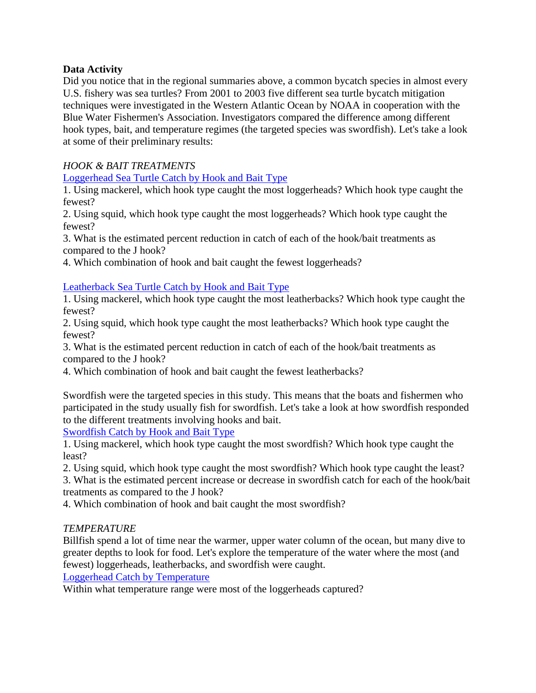# **Data Activity**

Did you notice that in the regional summaries above, a common bycatch species in almost every U.S. fishery was sea turtles? From 2001 to 2003 five different sea turtle bycatch mitigation techniques were investigated in the Western Atlantic Ocean by NOAA in cooperation with the Blue Water Fishermen's Association. Investigators compared the difference among different hook types, bait, and temperature regimes (the targeted species was swordfish). Let's take a look at some of their preliminary results:

# *HOOK & BAIT TREATMENTS*

[Loggerhead Sea Turtle Catch by Hook and Bait Type](http://www2.vims.edu/bridge/TipsContent/Bycatch/turtlegraph1.pdf)

1. Using mackerel, which hook type caught the most loggerheads? Which hook type caught the fewest?

2. Using squid, which hook type caught the most loggerheads? Which hook type caught the fewest?

3. What is the estimated percent reduction in catch of each of the hook/bait treatments as compared to the J hook?

4. Which combination of hook and bait caught the fewest loggerheads?

## [Leatherback Sea Turtle Catch by Hook and Bait Type](http://www2.vims.edu/bridge/TipsContent/Bycatch/turtlegraph2.pdf)

1. Using mackerel, which hook type caught the most leatherbacks? Which hook type caught the fewest?

2. Using squid, which hook type caught the most leatherbacks? Which hook type caught the fewest?

3. What is the estimated percent reduction in catch of each of the hook/bait treatments as compared to the J hook?

4. Which combination of hook and bait caught the fewest leatherbacks?

Swordfish were the targeted species in this study. This means that the boats and fishermen who participated in the study usually fish for swordfish. Let's take a look at how swordfish responded to the different treatments involving hooks and bait.

[Swordfish Catch by Hook and Bait Type](http://www2.vims.edu/bridge/TipsContent/Bycatch/turtlegraph3.pdf)

1. Using mackerel, which hook type caught the most swordfish? Which hook type caught the least?

2. Using squid, which hook type caught the most swordfish? Which hook type caught the least?

3. What is the estimated percent increase or decrease in swordfish catch for each of the hook/bait treatments as compared to the J hook?

4. Which combination of hook and bait caught the most swordfish?

## *TEMPERATURE*

Billfish spend a lot of time near the warmer, upper water column of the ocean, but many dive to greater depths to look for food. Let's explore the temperature of the water where the most (and fewest) loggerheads, leatherbacks, and swordfish were caught.

[Loggerhead Catch by Temperature](http://www2.vims.edu/bridge/TipsContent/Bycatch/turtlegraph4.pdf)

Within what temperature range were most of the loggerheads captured?